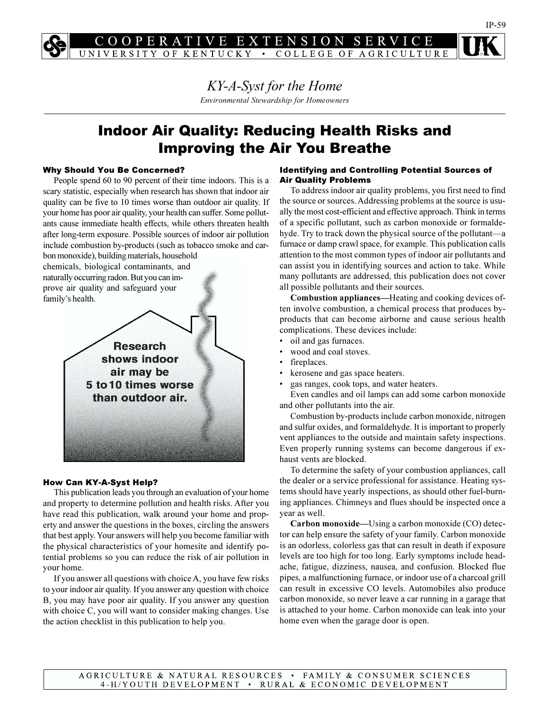E EXTENSI  $O<sub>N</sub>$ R S ITY OF KENTUCKY • COLLEGE OF AGRICULTURE

> KY-A-Syst for the Home Environmental Stewardship for Homeowners

# Indoor Air Quality: Reducing Health Risks and Improving the Air You Breathe

### Why Should You Be Concerned?

People spend 60 to 90 percent of their time indoors. This is a scary statistic, especially when research has shown that indoor air quality can be five to 10 times worse than outdoor air quality. If your home has poor air quality, your health can suffer. Some pollutants cause immediate health effects, while others threaten health after long-term exposure. Possible sources of indoor air pollution include combustion by-products (such as tobacco smoke and car-

bon monoxide), building materials, household chemicals, biological contaminants, and naturally occurring radon. But you can improve air quality and safeguard your family's health.



### How Can KY-A-Syst Help?

This publication leads you through an evaluation of your home and property to determine pollution and health risks. After you have read this publication, walk around your home and property and answer the questions in the boxes, circling the answers that best apply. Your answers will help you become familiar with the physical characteristics of your homesite and identify potential problems so you can reduce the risk of air pollution in your home.

If you answer all questions with choice A, you have few risks to your indoor air quality. If you answer any question with choice B, you may have poor air quality. If you answer any question with choice C, you will want to consider making changes. Use the action checklist in this publication to help you.

### Identifying and Controlling Potential Sources of Air Quality Problems

To address indoor air quality problems, you first need to find the source or sources. Addressing problems at the source is usually the most cost-efficient and effective approach. Think in terms of a specific pollutant, such as carbon monoxide or formaldehyde. Try to track down the physical source of the pollutant—a furnace or damp crawl space, for example. This publication calls attention to the most common types of indoor air pollutants and can assist you in identifying sources and action to take. While many pollutants are addressed, this publication does not cover all possible pollutants and their sources.

Combustion appliances—Heating and cooking devices often involve combustion, a chemical process that produces byproducts that can become airborne and cause serious health complications. These devices include:

- oil and gas furnaces.
- wood and coal stoves.
- fireplaces.
- kerosene and gas space heaters.
- gas ranges, cook tops, and water heaters.

Even candles and oil lamps can add some carbon monoxide and other pollutants into the air.

Combustion by-products include carbon monoxide, nitrogen and sulfur oxides, and formaldehyde. It is important to properly vent appliances to the outside and maintain safety inspections. Even properly running systems can become dangerous if exhaust vents are blocked.

To determine the safety of your combustion appliances, call the dealer or a service professional for assistance. Heating systems should have yearly inspections, as should other fuel-burning appliances. Chimneys and flues should be inspected once a year as well.

Carbon monoxide—Using a carbon monoxide (CO) detector can help ensure the safety of your family. Carbon monoxide is an odorless, colorless gas that can result in death if exposure levels are too high for too long. Early symptoms include headache, fatigue, dizziness, nausea, and confusion. Blocked flue pipes, a malfunctioning furnace, or indoor use of a charcoal grill can result in excessive CO levels. Automobiles also produce carbon monoxide, so never leave a car running in a garage that is attached to your home. Carbon monoxide can leak into your home even when the garage door is open.

AGRICULTURE & NATURAL RESOURCES • FAMILY & CONSUMER SCIENCES 4-H/YOUTH DEVELOPMENT • RURAL & ECONOMIC DEVELOPMENT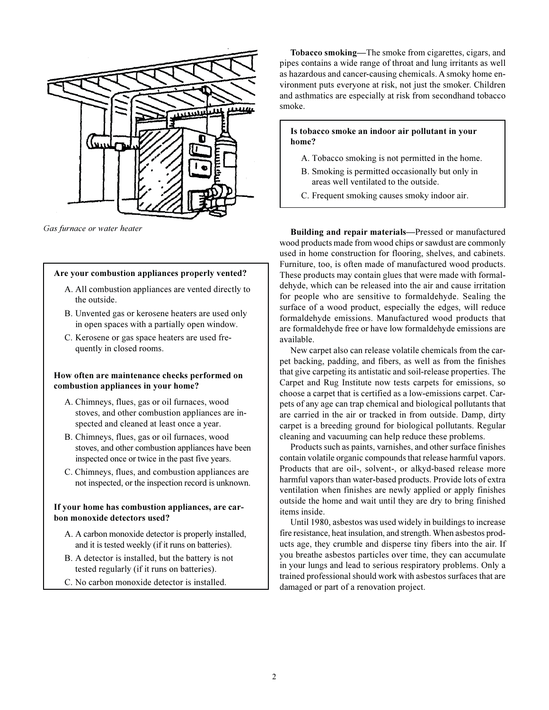

Gas furnace or water heater

### Are your combustion appliances properly vented?

- A. All combustion appliances are vented directly to the outside.
- B. Unvented gas or kerosene heaters are used only in open spaces with a partially open window.
- C. Kerosene or gas space heaters are used frequently in closed rooms.

### How often are maintenance checks performed on combustion appliances in your home?

- A. Chimneys, flues, gas or oil furnaces, wood stoves, and other combustion appliances are inspected and cleaned at least once a year.
- B. Chimneys, flues, gas or oil furnaces, wood stoves, and other combustion appliances have been inspected once or twice in the past five years.
- C. Chimneys, flues, and combustion appliances are not inspected, or the inspection record is unknown.

### If your home has combustion appliances, are carbon monoxide detectors used?

- A. A carbon monoxide detector is properly installed, and it is tested weekly (if it runs on batteries).
- B. A detector is installed, but the battery is not tested regularly (if it runs on batteries).
- C. No carbon monoxide detector is installed.

Tobacco smoking—The smoke from cigarettes, cigars, and pipes contains a wide range of throat and lung irritants as well as hazardous and cancer-causing chemicals. A smoky home environment puts everyone at risk, not just the smoker. Children and asthmatics are especially at risk from secondhand tobacco smoke.

Is tobacco smoke an indoor air pollutant in your home?

- A. Tobacco smoking is not permitted in the home.
- B. Smoking is permitted occasionally but only in areas well ventilated to the outside.
- C. Frequent smoking causes smoky indoor air.

Building and repair materials—Pressed or manufactured wood products made from wood chips or sawdust are commonly used in home construction for flooring, shelves, and cabinets. Furniture, too, is often made of manufactured wood products. These products may contain glues that were made with formaldehyde, which can be released into the air and cause irritation for people who are sensitive to formaldehyde. Sealing the surface of a wood product, especially the edges, will reduce formaldehyde emissions. Manufactured wood products that are formaldehyde free or have low formaldehyde emissions are available.

New carpet also can release volatile chemicals from the carpet backing, padding, and fibers, as well as from the finishes that give carpeting its antistatic and soil-release properties. The Carpet and Rug Institute now tests carpets for emissions, so choose a carpet that is certified as a low-emissions carpet. Carpets of any age can trap chemical and biological pollutants that are carried in the air or tracked in from outside. Damp, dirty carpet is a breeding ground for biological pollutants. Regular cleaning and vacuuming can help reduce these problems.

Products such as paints, varnishes, and other surface finishes contain volatile organic compounds that release harmful vapors. Products that are oil-, solvent-, or alkyd-based release more harmful vapors than water-based products. Provide lots of extra ventilation when finishes are newly applied or apply finishes outside the home and wait until they are dry to bring finished items inside.

Until 1980, asbestos was used widely in buildings to increase fire resistance, heat insulation, and strength. When asbestos products age, they crumble and disperse tiny fibers into the air. If you breathe asbestos particles over time, they can accumulate in your lungs and lead to serious respiratory problems. Only a trained professional should work with asbestos surfaces that are damaged or part of a renovation project.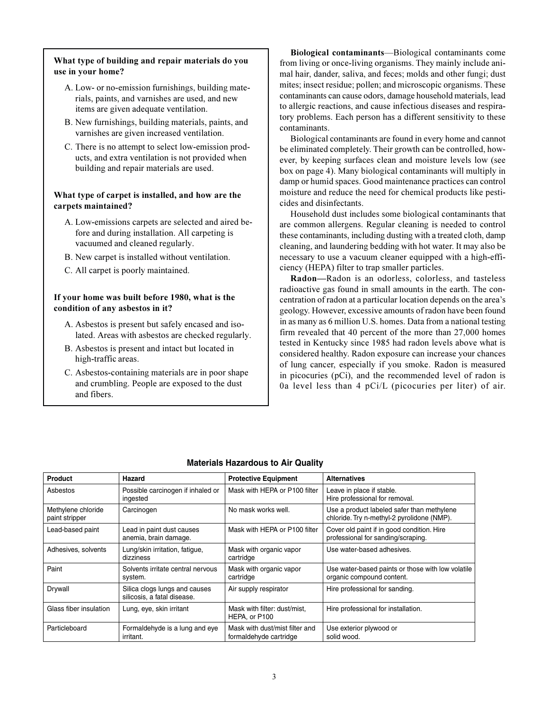# What type of building and repair materials do you use in your home?

- A. Low- or no-emission furnishings, building materials, paints, and varnishes are used, and new items are given adequate ventilation.
- B. New furnishings, building materials, paints, and varnishes are given increased ventilation.
- C. There is no attempt to select low-emission products, and extra ventilation is not provided when building and repair materials are used.

# What type of carpet is installed, and how are the carpets maintained?

- A. Low-emissions carpets are selected and aired before and during installation. All carpeting is vacuumed and cleaned regularly.
- B. New carpet is installed without ventilation.
- C. All carpet is poorly maintained.

# If your home was built before 1980, what is the condition of any asbestos in it?

- A. Asbestos is present but safely encased and isolated. Areas with asbestos are checked regularly.
- B. Asbestos is present and intact but located in high-traffic areas.
- C. Asbestos-containing materials are in poor shape and crumbling. People are exposed to the dust and fibers.

Biological contaminants—Biological contaminants come from living or once-living organisms. They mainly include animal hair, dander, saliva, and feces; molds and other fungi; dust mites; insect residue; pollen; and microscopic organisms. These contaminants can cause odors, damage household materials, lead to allergic reactions, and cause infectious diseases and respiratory problems. Each person has a different sensitivity to these contaminants.

Biological contaminants are found in every home and cannot be eliminated completely. Their growth can be controlled, however, by keeping surfaces clean and moisture levels low (see box on page 4). Many biological contaminants will multiply in damp or humid spaces. Good maintenance practices can control moisture and reduce the need for chemical products like pesticides and disinfectants.

Household dust includes some biological contaminants that are common allergens. Regular cleaning is needed to control these contaminants, including dusting with a treated cloth, damp cleaning, and laundering bedding with hot water. It may also be necessary to use a vacuum cleaner equipped with a high-efficiency (HEPA) filter to trap smaller particles.

Radon—Radon is an odorless, colorless, and tasteless radioactive gas found in small amounts in the earth. The concentration of radon at a particular location depends on the area's geology. However, excessive amounts of radon have been found in as many as 6 million U.S. homes. Data from a national testing firm revealed that 40 percent of the more than 27,000 homes tested in Kentucky since 1985 had radon levels above what is considered healthy. Radon exposure can increase your chances of lung cancer, especially if you smoke. Radon is measured in picocuries (pCi), and the recommended level of radon is 0a level less than 4 pCi/L (picocuries per liter) of air.

| Product                              | Hazard                                                       | <b>Protective Equipment</b>                              | <b>Alternatives</b>                                                                      |  |
|--------------------------------------|--------------------------------------------------------------|----------------------------------------------------------|------------------------------------------------------------------------------------------|--|
| Asbestos                             | Possible carcinogen if inhaled or<br>ingested                | Mask with HEPA or P100 filter                            | Leave in place if stable.<br>Hire professional for removal.                              |  |
| Methylene chloride<br>paint stripper | Carcinogen                                                   | No mask works well.                                      | Use a product labeled safer than methylene<br>chloride. Try n-methyl-2 pyrolidone (NMP). |  |
| Lead-based paint                     | Lead in paint dust causes<br>anemia, brain damage.           | Mask with HEPA or P100 filter                            | Cover old paint if in good condition. Hire<br>professional for sanding/scraping.         |  |
| Adhesives, solvents                  | Lung/skin irritation, fatigue,<br>dizziness                  | Mask with organic vapor<br>cartridge                     | Use water-based adhesives.                                                               |  |
| Paint                                | Solvents irritate central nervous<br>system.                 | Mask with organic vapor<br>cartridge                     | Use water-based paints or those with low volatile<br>organic compound content.           |  |
| Drywall                              | Silica clogs lungs and causes<br>silicosis, a fatal disease. | Air supply respirator                                    | Hire professional for sanding.                                                           |  |
| Glass fiber insulation               | Lung, eye, skin irritant                                     | Mask with filter: dust/mist,<br>HEPA, or P100            | Hire professional for installation.                                                      |  |
| Particleboard                        | Formaldehyde is a lung and eye<br>irritant.                  | Mask with dust/mist filter and<br>formaldehyde cartridge | Use exterior plywood or<br>solid wood.                                                   |  |

# **Materials Hazardous to Air Quality**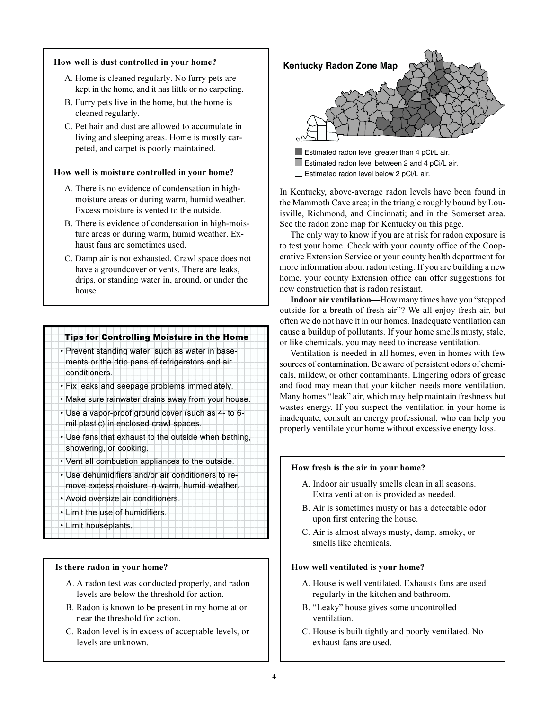### How well is dust controlled in your home?

- A. Home is cleaned regularly. No furry pets are kept in the home, and it has little or no carpeting.
- B. Furry pets live in the home, but the home is cleaned regularly.
- C. Pet hair and dust are allowed to accumulate in living and sleeping areas. Home is mostly carpeted, and carpet is poorly maintained.

### How well is moisture controlled in your home?

- A. There is no evidence of condensation in highmoisture areas or during warm, humid weather. Excess moisture is vented to the outside.
- B. There is evidence of condensation in high-moisture areas or during warm, humid weather. Exhaust fans are sometimes used.
- C. Damp air is not exhausted. Crawl space does not have a groundcover or vents. There are leaks, drips, or standing water in, around, or under the house.

#### 123456781891234567891234567891234567891234567891234567891234567891234567891213456 **Tips for Controlling Moisture in the Home**

- 123456781891234567891234567891234567891234567891234567891234567891234567891213456 • Prevent standing water, such as water in base-**1** 1 1 1 1234 ments or the drip pans of refrigerators and air conditioners. 123456781891234567891234567891234567891234567891234567891345678913456789134567891
- Fix leaks and seepage problems immediately.
- 123456781891234567891234567891234567891234567891234567891345678913456789134567891 • Make sure rainwater drains away from your house. 123456781891234567891234567891234567891234567891234567891345678913456789134567891
- Use a vapor-proof ground cover (such as 4- to 6-**12345679123456789012345678012345678012345678902345678901234567890121345678901213456789012134567890121345678901213456**
- 12345678912345678912345678912345678912345678912345678912345678913456789134567891  $\|\cdot\|$  Use fans that exhaust to the outside when bathing,  $\|\cdot\|$ showering, or cooking. The showering of cooking. 123456781891234567891234567891234567891234567891234567891345678913456789134567891
- Vent all combustion appliances to the outside.
- 1 1 • Use dehumidifiers and/or air conditioners to re-

#### **1** move excess moisture in warm, humid weather. 123456789012345678901234567890121

• Avoid oversize air conditioners. 123456789012345678901234567890121 • Limit the use of humidifiers. 1 1 **12345678912456789123456789123456789012345678901213456789012134567890121345678901213456789012134567890121345678901213456789012134567890121345678901213456789012134567890121345678901213456789012134567890121345678901213456789** 1 1

123456789012345678901234567890121

### Is there radon in your home?

- A. A radon test was conducted properly, and radon levels are below the threshold for action.
- B. Radon is known to be present in my home at or near the threshold for action.
- C. Radon level is in excess of acceptable levels, or levels are unknown.



Estimated radon level between 2 and 4 pCi/L air. Estimated radon level below 2 pCi/L air.

In Kentucky, above-average radon levels have been found in the Mammoth Cave area; in the triangle roughly bound by Louisville, Richmond, and Cincinnati; and in the Somerset area. See the radon zone map for Kentucky on this page.

The only way to know if you are at risk for radon exposure is to test your home. Check with your county office of the Cooperative Extension Service or your county health department for more information about radon testing. If you are building a new home, your county Extension office can offer suggestions for new construction that is radon resistant.

Indoor air ventilation—How many times have you "stepped outside for a breath of fresh air"? We all enjoy fresh air, but often we do not have it in our homes. Inadequate ventilation can cause a buildup of pollutants. If your home smells musty, stale, or like chemicals, you may need to increase ventilation.

Ventilation is needed in all homes, even in homes with few sources of contamination. Be aware of persistent odors of chemicals, mildew, or other contaminants. Lingering odors of grease and food may mean that your kitchen needs more ventilation. Many homes "leak" air, which may help maintain freshness but wastes energy. If you suspect the ventilation in your home is inadequate, consult an energy professional, who can help you properly ventilate your home without excessive energy loss.

### How fresh is the air in your home?

- A. Indoor air usually smells clean in all seasons. Extra ventilation is provided as needed.
- B. Air is sometimes musty or has a detectable odor upon first entering the house.
- C. Air is almost always musty, damp, smoky, or smells like chemicals.

### How well ventilated is your home?

- A. House is well ventilated. Exhausts fans are used regularly in the kitchen and bathroom.
- B. "Leaky" house gives some uncontrolled ventilation.
- C. House is built tightly and poorly ventilated. No exhaust fans are used.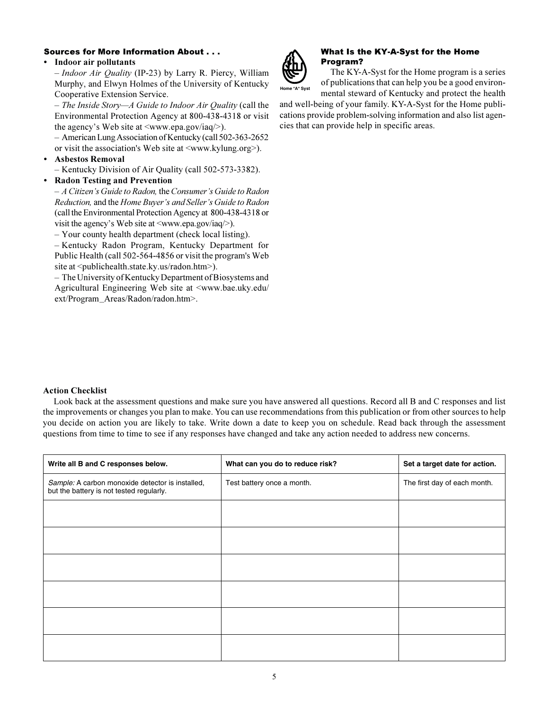# Sources for More Information About . . .

### • Indoor air pollutants

– Indoor Air Quality (IP-23) by Larry R. Piercy, William Murphy, and Elwyn Holmes of the University of Kentucky Cooperative Extension Service.

– The Inside Story—A Guide to Indoor Air Quality (call the Environmental Protection Agency at 800-438-4318 or visit the agency's Web site at <www.epa.gov/iaq/>).

– American Lung Association of Kentucky (call 502-363-2652 or visit the association's Web site at <www.kylung.org>).

### • Asbestos Removal

– Kentucky Division of Air Quality (call 502-573-3382).

## • Radon Testing and Prevention

– A Citizen's Guide to Radon, the Consumer's Guide to Radon Reduction, and the Home Buyer's and Seller's Guide to Radon (call the Environmental Protection Agency at 800-438-4318 or visit the agency's Web site at <www.epa.gov/iaq/>).

– Your county health department (check local listing).

– Kentucky Radon Program, Kentucky Department for Public Health (call 502-564-4856 or visit the program's Web site at <publichealth.state.ky.us/radon.htm>).

– The University of Kentucky Department of Biosystems and Agricultural Engineering Web site at <www.bae.uky.edu/ ext/Program\_Areas/Radon/radon.htm>.



## What Is the KY-A-Syst for the Home Program?

 The KY-A-Syst for the Home program is a series of publications that can help you be a good environmental steward of Kentucky and protect the health

and well-being of your family. KY-A-Syst for the Home publications provide problem-solving information and also list agencies that can provide help in specific areas.

### Action Checklist

Look back at the assessment questions and make sure you have answered all questions. Record all B and C responses and list the improvements or changes you plan to make. You can use recommendations from this publication or from other sources to help you decide on action you are likely to take. Write down a date to keep you on schedule. Read back through the assessment questions from time to time to see if any responses have changed and take any action needed to address new concerns.

| Write all B and C responses below.                                                           | What can you do to reduce risk? | Set a target date for action. |
|----------------------------------------------------------------------------------------------|---------------------------------|-------------------------------|
| Sample: A carbon monoxide detector is installed,<br>but the battery is not tested regularly. | Test battery once a month.      | The first day of each month.  |
|                                                                                              |                                 |                               |
|                                                                                              |                                 |                               |
|                                                                                              |                                 |                               |
|                                                                                              |                                 |                               |
|                                                                                              |                                 |                               |
|                                                                                              |                                 |                               |